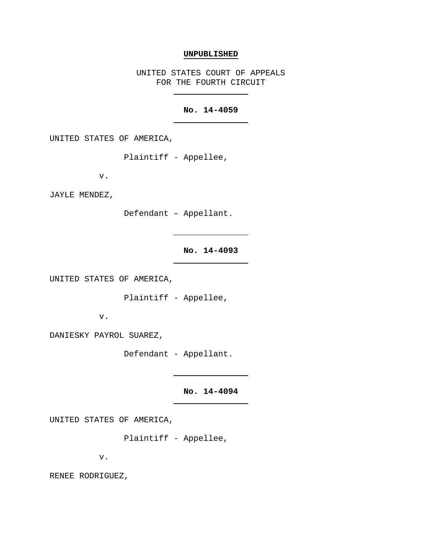## **UNPUBLISHED**

UNITED STATES COURT OF APPEALS FOR THE FOURTH CIRCUIT

## **No. 14-4059**

UNITED STATES OF AMERICA,

Plaintiff - Appellee,

v.

JAYLE MENDEZ,

Defendant – Appellant.

## **No. 14-4093**

UNITED STATES OF AMERICA,

Plaintiff - Appellee,

v.

DANIESKY PAYROL SUAREZ,

Defendant - Appellant.

**No. 14-4094**

UNITED STATES OF AMERICA,

Plaintiff - Appellee,

v.

RENEE RODRIGUEZ,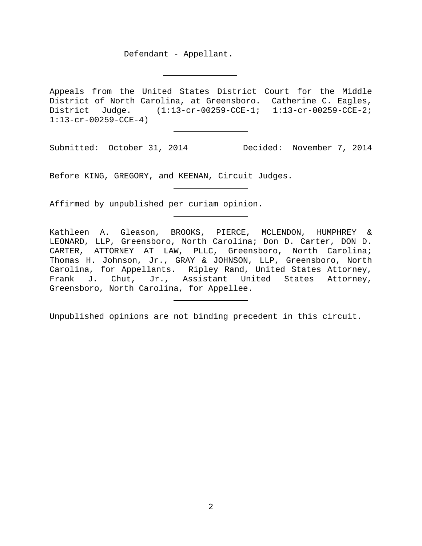Defendant - Appellant.

Appeals from the United States District Court for the Middle District of North Carolina, at Greensboro. Catherine C. Eagles, District Judge. (1:13-cr-00259-CCE-1; 1:13-cr-00259-CCE-2; 1:13-cr-00259-CCE-4)

Submitted: October 31, 2014 Decided: November 7, 2014

Before KING, GREGORY, and KEENAN, Circuit Judges.

Affirmed by unpublished per curiam opinion.

Kathleen A. Gleason, BROOKS, PIERCE, MCLENDON, HUMPHREY & LEONARD, LLP, Greensboro, North Carolina; Don D. Carter, DON D. CARTER, ATTORNEY AT LAW, PLLC, Greensboro, North Carolina; Thomas H. Johnson, Jr., GRAY & JOHNSON, LLP, Greensboro, North Carolina, for Appellants. Ripley Rand, United States Attorney, Frank J. Chut, Jr., Assistant United States Attorney, Greensboro, North Carolina, for Appellee.

Unpublished opinions are not binding precedent in this circuit.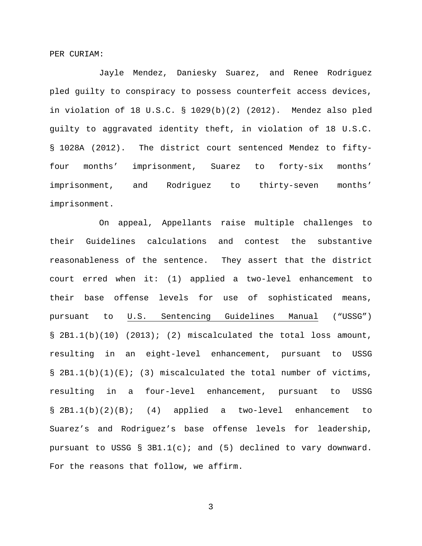PER CURIAM:

Jayle Mendez, Daniesky Suarez, and Renee Rodriguez pled guilty to conspiracy to possess counterfeit access devices, in violation of 18 U.S.C. § 1029(b)(2) (2012). Mendez also pled guilty to aggravated identity theft, in violation of 18 U.S.C. § 1028A (2012). The district court sentenced Mendez to fiftyfour months' imprisonment, Suarez to forty-six months' imprisonment, and Rodriguez to thirty-seven months' imprisonment.

On appeal, Appellants raise multiple challenges to their Guidelines calculations and contest the substantive reasonableness of the sentence. They assert that the district court erred when it: (1) applied a two-level enhancement to their base offense levels for use of sophisticated means, pursuant to U.S. Sentencing Guidelines Manual ("USSG")  $\S$  2B1.1(b)(10) (2013); (2) miscalculated the total loss amount, resulting in an eight-level enhancement, pursuant to USSG  $\S$  2B1.1(b)(1)(E); (3) miscalculated the total number of victims, resulting in a four-level enhancement, pursuant to USSG § 2B1.1(b)(2)(B); (4) applied a two-level enhancement to Suarez's and Rodriguez's base offense levels for leadership, pursuant to USSG § 3B1.1(c); and (5) declined to vary downward. For the reasons that follow, we affirm.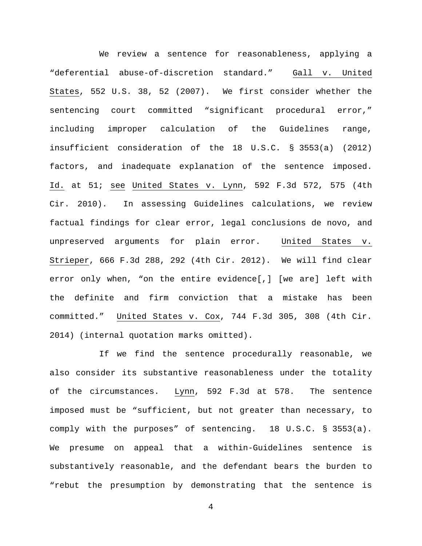We review a sentence for reasonableness, applying a "deferential abuse-of-discretion standard." Gall v. United States, 552 U.S. 38, 52 (2007). We first consider whether the sentencing court committed "significant procedural error," including improper calculation of the Guidelines range, insufficient consideration of the 18 U.S.C. § 3553(a) (2012) factors, and inadequate explanation of the sentence imposed. Id. at 51; see United States v. Lynn, 592 F.3d 572, 575 (4th Cir. 2010). In assessing Guidelines calculations, we review factual findings for clear error, legal conclusions de novo, and unpreserved arguments for plain error. United States v. Strieper, 666 F.3d 288, 292 (4th Cir. 2012). We will find clear error only when, "on the entire evidence[,] [we are] left with the definite and firm conviction that a mistake has been committed." United States v. Cox, 744 F.3d 305, 308 (4th Cir. 2014) (internal quotation marks omitted).

If we find the sentence procedurally reasonable, we also consider its substantive reasonableness under the totality of the circumstances. Lynn, 592 F.3d at 578. The sentence imposed must be "sufficient, but not greater than necessary, to comply with the purposes" of sentencing. 18 U.S.C. § 3553(a). We presume on appeal that a within-Guidelines sentence is substantively reasonable, and the defendant bears the burden to "rebut the presumption by demonstrating that the sentence is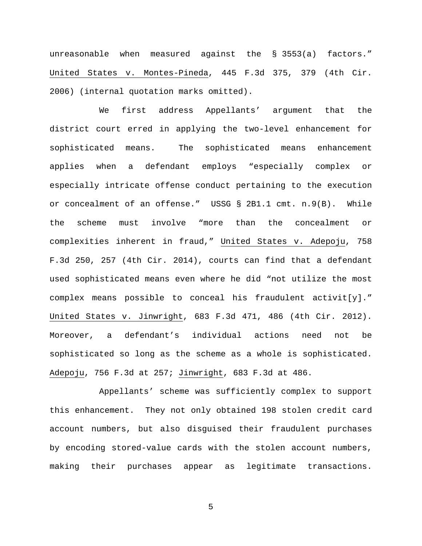unreasonable when measured against the § 3553(a) factors." United States v. Montes-Pineda, 445 F.3d 375, 379 (4th Cir. 2006) (internal quotation marks omitted).

We first address Appellants' argument that the district court erred in applying the two-level enhancement for sophisticated means. The sophisticated means enhancement applies when a defendant employs "especially complex or especially intricate offense conduct pertaining to the execution or concealment of an offense." USSG § 2B1.1 cmt. n.9(B). While the scheme must involve "more than the concealment or complexities inherent in fraud," United States v. Adepoju, 758 F.3d 250, 257 (4th Cir. 2014), courts can find that a defendant used sophisticated means even where he did "not utilize the most complex means possible to conceal his fraudulent activit[y]." United States v. Jinwright, 683 F.3d 471, 486 (4th Cir. 2012). Moreover, a defendant's individual actions need not be sophisticated so long as the scheme as a whole is sophisticated. Adepoju, 756 F.3d at 257; Jinwright, 683 F.3d at 486.

Appellants' scheme was sufficiently complex to support this enhancement. They not only obtained 198 stolen credit card account numbers, but also disguised their fraudulent purchases by encoding stored-value cards with the stolen account numbers, making their purchases appear as legitimate transactions.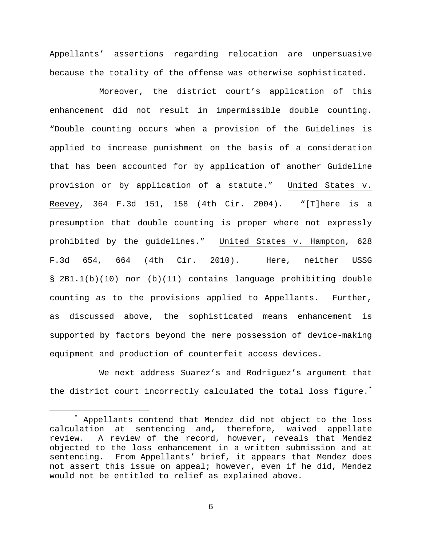Appellants' assertions regarding relocation are unpersuasive because the totality of the offense was otherwise sophisticated.

Moreover, the district court's application of this enhancement did not result in impermissible double counting. "Double counting occurs when a provision of the Guidelines is applied to increase punishment on the basis of a consideration that has been accounted for by application of another Guideline provision or by application of a statute." United States v. Reevey, 364 F.3d 151, 158 (4th Cir. 2004). "[T]here is a presumption that double counting is proper where not expressly prohibited by the guidelines." United States v. Hampton, 628 F.3d 654, 664 (4th Cir. 2010). Here, neither USSG § 2B1.1(b)(10) nor (b)(11) contains language prohibiting double counting as to the provisions applied to Appellants. Further, as discussed above, the sophisticated means enhancement is supported by factors beyond the mere possession of device-making equipment and production of counterfeit access devices.

We next address Suarez's and Rodriguez's argument that the district court incorrectly calculated the total loss figure.<sup>[\\*](#page-5-0)</sup>

<span id="page-5-0"></span> <sup>\*</sup> Appellants contend that Mendez did not object to the loss calculation at sentencing and, therefore, waived appellate review. A review of the record, however, reveals that Mendez objected to the loss enhancement in a written submission and at sentencing. From Appellants' brief, it appears that Mendez does not assert this issue on appeal; however, even if he did, Mendez would not be entitled to relief as explained above.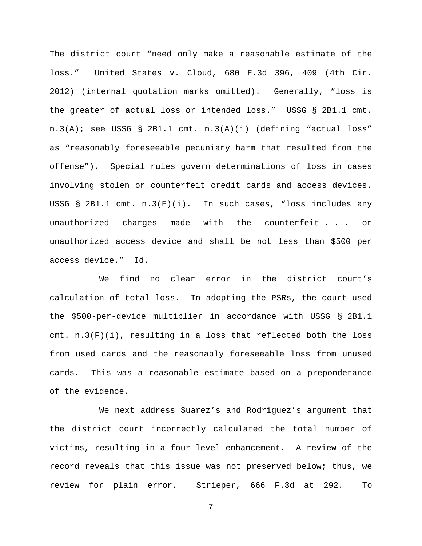The district court "need only make a reasonable estimate of the loss." United States v. Cloud, 680 F.3d 396, 409 (4th Cir. 2012) (internal quotation marks omitted). Generally, "loss is the greater of actual loss or intended loss." USSG § 2B1.1 cmt. n.3(A); see USSG § 2B1.1 cmt. n.3(A)(i) (defining "actual loss" as "reasonably foreseeable pecuniary harm that resulted from the offense"). Special rules govern determinations of loss in cases involving stolen or counterfeit credit cards and access devices. USSG § 2B1.1 cmt. n.3(F)(i). In such cases, "loss includes any unauthorized charges made with the counterfeit . . . or unauthorized access device and shall be not less than \$500 per access device." Id.

We find no clear error in the district court's calculation of total loss. In adopting the PSRs, the court used the \$500-per-device multiplier in accordance with USSG § 2B1.1 cmt.  $n.3(F)(i)$ , resulting in a loss that reflected both the loss from used cards and the reasonably foreseeable loss from unused cards. This was a reasonable estimate based on a preponderance of the evidence.

We next address Suarez's and Rodriguez's argument that the district court incorrectly calculated the total number of victims, resulting in a four-level enhancement. A review of the record reveals that this issue was not preserved below; thus, we review for plain error. Strieper, 666 F.3d at 292. To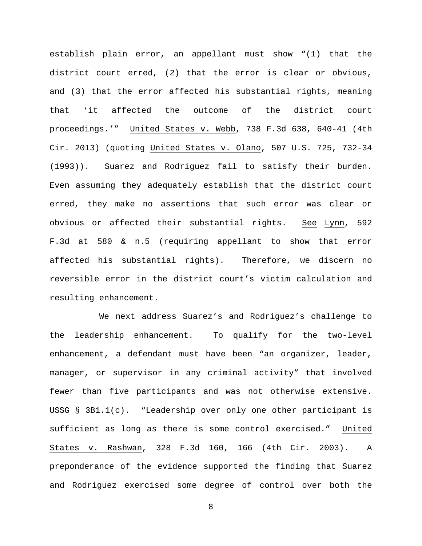establish plain error, an appellant must show "(1) that the district court erred, (2) that the error is clear or obvious, and (3) that the error affected his substantial rights, meaning that 'it affected the outcome of the district court proceedings.'" United States v. Webb, 738 F.3d 638, 640-41 (4th Cir. 2013) (quoting United States v. Olano, 507 U.S. 725, 732-34 (1993)). Suarez and Rodriguez fail to satisfy their burden. Even assuming they adequately establish that the district court erred, they make no assertions that such error was clear or obvious or affected their substantial rights. See Lynn, 592 F.3d at 580 & n.5 (requiring appellant to show that error affected his substantial rights). Therefore, we discern no reversible error in the district court's victim calculation and resulting enhancement.

We next address Suarez's and Rodriguez's challenge to the leadership enhancement. To qualify for the two-level enhancement, a defendant must have been "an organizer, leader, manager, or supervisor in any criminal activity" that involved fewer than five participants and was not otherwise extensive. USSG § 3B1.1(c). "Leadership over only one other participant is sufficient as long as there is some control exercised." United States v. Rashwan, 328 F.3d 160, 166 (4th Cir. 2003). A preponderance of the evidence supported the finding that Suarez and Rodriguez exercised some degree of control over both the